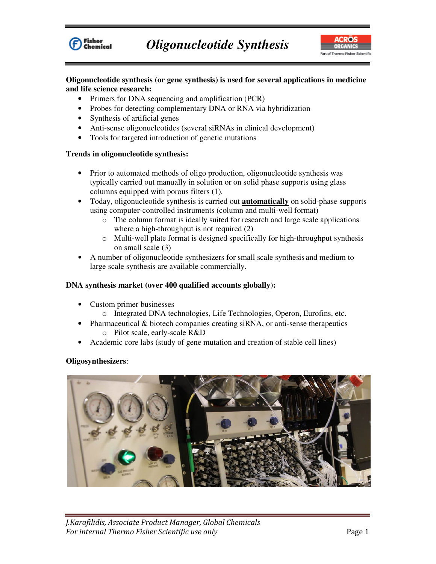



#### **Oligonucleotide synthesis (or gene synthesis) is used for several applications in medicine and life science research:**

- Primers for DNA sequencing and amplification (PCR)
- Probes for detecting complementary DNA or RNA via hybridization
- Synthesis of artificial genes
- Anti-sense oligonucleotides (several siRNAs in clinical development)
- Tools for targeted introduction of genetic mutations

#### **Trends in oligonucleotide synthesis:**

- Prior to automated methods of oligo production, oligonucleotide synthesis was typically carried out manually in solution or on solid phase supports using glass columns equipped with porous filters (1).
- Today, oligonucleotide synthesis is carried out **automatically** on solid-phase supports using computer-controlled instruments (column and multi-well format)
	- o The column format is ideally suited for research and large scale applications where a high-throughput is not required  $(2)$
	- o Multi-well plate format is designed specifically for high-throughput synthesis on small scale (3)
- A number of oligonucleotide synthesizers for small scale synthesis and medium to large scale synthesis are available commercially.

#### **DNA synthesis market (over 400 qualified accounts globally):**

- Custom primer businesses
	- o Integrated DNA technologies, Life Technologies, Operon, Eurofins, etc.
	- Pharmaceutical  $\&$  biotech companies creating siRNA, or anti-sense therapeutics o Pilot scale, early-scale R&D
- Academic core labs (study of gene mutation and creation of stable cell lines)

## **Oligosynthesizers**:

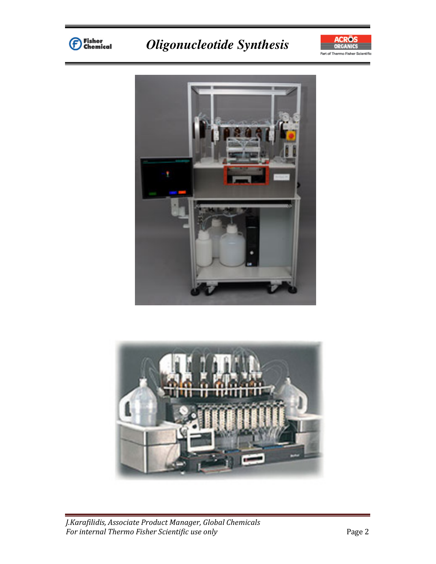

# *Oligonucleotide Synthesis*





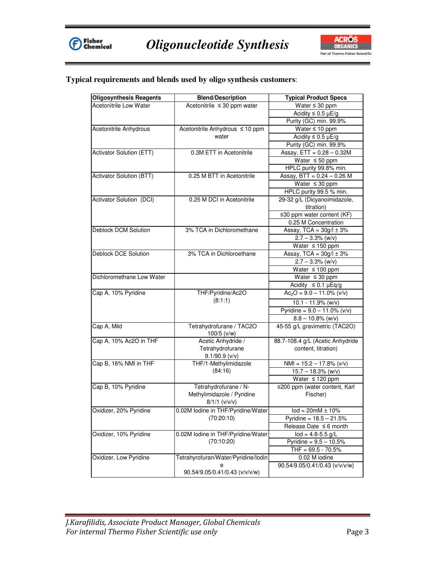



# **Typical requirements and blends used by oligo synthesis customers**:

| <b>Oligosynthesis Reagents</b>  | <b>Blend/Description</b>                          | <b>Typical Product Specs</b>                  |  |
|---------------------------------|---------------------------------------------------|-----------------------------------------------|--|
| Acetonitrile Low Water          | Acetonitrile $\leq$ 30 ppm water                  | Water $\leq 30$ ppm                           |  |
|                                 |                                                   | Acidity $\leq 0.5 \mu E/g$                    |  |
|                                 |                                                   | Purity (GC) min. 99.9%                        |  |
| Acetonitrile Anhydrous          | Acetonitrile Anhydrous ≤ 10 ppm                   | Water $\leq 10$ ppm                           |  |
|                                 | water                                             | Acidity $\leq 0.5$ $\mu$ E/g                  |  |
|                                 |                                                   | Purity (GC) min. 99.9%                        |  |
| Activator Solution (ETT)        | 0.3M ETT in Acetonitrile                          | Assay, $ETT = 0.28 - 0.32M$                   |  |
|                                 |                                                   | Water $\leq 50$ ppm                           |  |
|                                 |                                                   | HPLC purity 99.8% min.                        |  |
| <b>Activator Solution (BTT)</b> | 0.25 M BTT in Acetonitrile                        | Assay, $BTT = 0.24 - 0.26$ M                  |  |
|                                 |                                                   | Water $\leq 30$ ppm                           |  |
|                                 |                                                   | HPLC purity 99.5 % min.                       |  |
| Activator Solution (DCI)        | 0.25 M DCI in Acetonitrile                        | 29-32 g/L (Dicyanoimidazole,<br>titration)    |  |
|                                 |                                                   | $\leq$ 30 ppm water content (KF)              |  |
|                                 |                                                   | 0.25 M Concentration                          |  |
| Deblock DCM Solution            | 3% TCA in Dichloromethane                         | Assay, $TCA = 30g/l \pm 3%$                   |  |
|                                 |                                                   | $2.7 - 3.3\%$ (w/v)                           |  |
|                                 |                                                   | Water $\leq$ 150 ppm                          |  |
| Deblock DCE Solution            | 3% TCA in Dichloroethane                          | Assay, $TCA = 30g/l \pm 3%$                   |  |
|                                 |                                                   | $2.7 - 3.3\%$ (w/v)                           |  |
|                                 |                                                   | Water $\leq 100$ ppm                          |  |
| Dichloromethane Low Water       |                                                   | Water $\leq 30$ ppm                           |  |
|                                 |                                                   | Acidity $\leq 0.1 \mu Eq/g$                   |  |
| Cap A, 10% Pyridine             | THF/Pyridine/Ac2O                                 | $\overline{Ac_2O}$ = 9.0 – 11.0% (v/v)        |  |
|                                 | (8:1:1)                                           | 10.1 - 11.9% (w/v)                            |  |
|                                 |                                                   | Pyridine = $9.0 - 11.0\%$ (v/v)               |  |
|                                 |                                                   | $8.8 - 10.8\%$ (w/v)                          |  |
| Cap A, Mild                     | Tetrahydrofurane / TAC2O<br>$100/5$ (v/w)         | 45-55 g/L gravimetric (TAC2O)                 |  |
| Cap A, 10% Ac2O in THF          | Acetic Anhydride /                                | 88.7-108.4 g/L (Acetic Anhydride              |  |
|                                 | Tetrahydrofurane                                  | content, titration)                           |  |
|                                 | $9.1/90.9$ (v/v)                                  |                                               |  |
| Cap B, 16% NMI in THF           | THF/1-Methylimidazole                             | $\overline{\text{NMI}} = 15.2 - 17.8\%$ (v/v) |  |
|                                 | (84:16)                                           | $15.7 - 18.3\%$ (w/v)                         |  |
|                                 |                                                   | Water $\leq 120$ ppm                          |  |
| Cap B, 10% Pyridine             | Tetrahydrofurane / N-                             | ≤200 ppm (water content, Karl                 |  |
|                                 | Methylimidazole / Pyridine<br>$8/1/1$ ( $v/v/v$ ) | Fischer)                                      |  |
| Oxidizer, 20% Pyridine          | 0.02M lodine in THF/Pyridine/Water                | $lod = 20mM \pm 10\%$                         |  |
|                                 | (70:20:10)                                        | Pyridine = $18.5 - 21.5%$                     |  |
|                                 |                                                   | Release Date $\leq 6$ month                   |  |
| Oxidizer, 10% Pyridine          | 0.02M lodine in THF/Pyridine/Water                | $Iod = 4.8 - 5.5 g/L$                         |  |
|                                 | (70:10:20)                                        | Pyridine = $9.5 - 10.5%$                      |  |
|                                 |                                                   | $THF = 69.5 - 70.5%$                          |  |
| Oxidizer, Low Pyridine          | Tetrahyrofuran/Water/Pyridine/lodin               | 0.02 M iodine                                 |  |
|                                 | е                                                 | 90.54/9.05/0.41/0.43 (v/v/v/w)                |  |
|                                 | 90.54/9.05/0.41/0.43 (v/v/v/w)                    |                                               |  |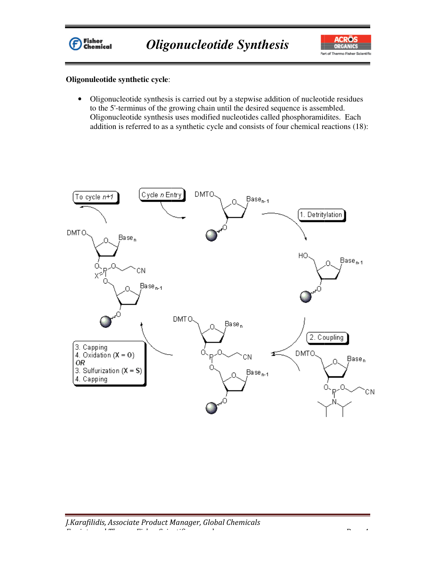



#### **Oligonuleotide synthetic cycle**:

• Oligonucleotide synthesis is carried out by a stepwise addition of nucleotide residues Oligonucleotide synthesis is carried out by a stepwise addition of nucleotide resition the 5'-terminus of the growing chain until the desired sequence is assembled. Oligonucleotide synthesis is carried out by a stepwise addition of nucleotide residues<br>to the 5'-terminus of the growing chain until the desired sequence is assembled.<br>Oligonucleotide synthesis uses modified nucleotides ca Oligonucleotide synthesis uses modified nucleotides called phosphoramidites. Each addition is referred to as a synthetic cycle and consists of four chemical reactions (18):

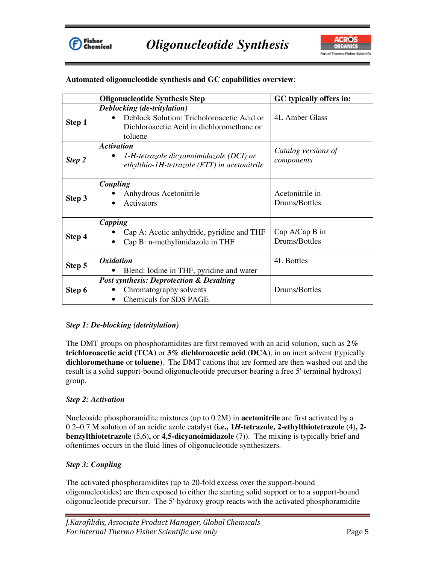

|  | Automated oligonucleotide synthesis and GC capabilities overview: |  |  |
|--|-------------------------------------------------------------------|--|--|
|  |                                                                   |  |  |

|        | <b>Oligonucleotide Synthesis Step</b>                                                                                             | GC typically offers in:           |
|--------|-----------------------------------------------------------------------------------------------------------------------------------|-----------------------------------|
| Step 1 | Deblocking (de-tritylation)<br>Deblock Solution: Tricholoroacetic Acid or<br>Dichloroacetic Acid in dichloromethane or<br>toluene | 4L Amber Glass                    |
| Step 2 | <b>Activation</b><br>1-H-tetrazole dicyanoimidazole (DCI) or<br>$\bullet$<br>ethylthio-1H-tetrazole (ETT) in acetonitrile         | Catalog versions of<br>components |
| Step 3 | Coupling<br>Anhydrous Acetonitrile<br>Activators                                                                                  | Acetonitrile in<br>Drums/Bottles  |
| Step 4 | <b>Capping</b><br>Cap A: Acetic anhydride, pyridine and THF<br>Cap B: n-methylimidazole in THF                                    | Cap A/Cap B in<br>Drums/Bottles   |
| Step 5 | <i><b>Oxidation</b></i><br>Blend: Iodine in THF, pyridine and water                                                               | 4L Bottles                        |
| Step 6 | <b>Post synthesis: Deprotection &amp; Desalting</b><br>Chromatography solvents<br><b>Chemicals for SDS PAGE</b>                   | Drums/Bottles                     |

## S*tep 1: De-blocking (detritylation)*

The DMT groups on phosphoramidites are first removed with an acid solution, such as **2% trichloroacetic acid (TCA)** or **3% dichloroacetic acid (DCA)**, in an inert solvent **(**typically **dichloromethane** or **toluene)**. The DMT cations that are formed are then washed out and the result is a solid support-bound oligonucleotide precursor bearing a free 5'-terminal hydroxyl group.

## *Step 2: Activation*

Nucleoside phosphoramidite mixtures (up to 0.2M) in **acetonitrile** are first activated by a 0.2–0.7 M solution of an acidic azole catalyst **(i.e., 1***H***-tetrazole, 2-ethylthiotetrazole** (4)**, 2 benzylthiotetrazole** (5,6)**,** or **4,5-dicyanoimidazole** (7)). The mixing is typically brief and oftentimes occurs in the fluid lines of oligonucleotide synthesizers.

## *Step 3: Coupling*

The activated phosphoramidites (up to 20-fold excess over the support-bound oligonucleotides) are then exposed to either the starting solid support or to a support-bound oligonucleotide precursor. The 5'-hydroxy group reacts with the activated phosphoramidite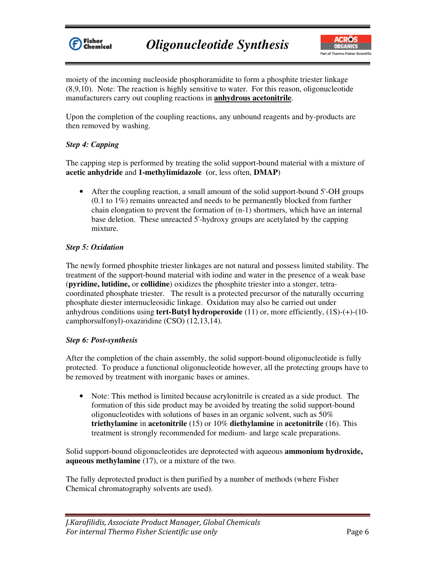



moiety of the incoming nucleoside phosphoramidite to form a phosphite triester linkage (8,9,10). Note: The reaction is highly sensitive to water. For this reason, oligonucleotide manufacturers carry out coupling reactions in **anhydrous acetonitrile**.

Upon the completion of the coupling reactions, any unbound reagents and by-products are then removed by washing.

# *Step 4: Capping*

The capping step is performed by treating the solid support-bound material with a mixture of **acetic anhydride** and **1-methylimidazole (**or, less often, **DMAP**)

• After the coupling reaction, a small amount of the solid support-bound 5'-OH groups (0.1 to 1%) remains unreacted and needs to be permanently blocked from further chain elongation to prevent the formation of (n-1) shortmers, which have an internal base deletion. These unreacted 5'-hydroxy groups are acetylated by the capping mixture.

## *Step 5: Oxidation*

The newly formed phosphite triester linkages are not natural and possess limited stability. The treatment of the support-bound material with iodine and water in the presence of a weak base (**pyridine, lutidine,** or **collidine**) oxidizes the phosphite triester into a stonger, tetracoordinated phosphate triester. The result is a protected precursor of the naturally occurring phosphate diester internucleosidic linkage. Oxidation may also be carried out under anhydrous conditions using **tert-Butyl hydroperoxide** (11) or, more efficiently, (1S)-(+)-(10 camphorsulfonyl)-oxaziridine (CSO) (12,13,14).

#### *Step 6: Post-synthesis*

After the completion of the chain assembly, the solid support-bound oligonucleotide is fully protected. To produce a functional oligonucleotide however, all the protecting groups have to be removed by treatment with inorganic bases or amines.

• Note: This method is limited because acrylonitrile is created as a side product. The formation of this side product may be avoided by treating the solid support-bound oligonucleotides with solutions of bases in an organic solvent, such as 50% **triethylamine** in **acetonitrile** (15) or 10% **diethylamine** in **acetonitrile** (16). This treatment is strongly recommended for medium- and large scale preparations.

Solid support-bound oligonucleotides are deprotected with aqueous **ammonium hydroxide, aqueous methylamine** (17), or a mixture of the two.

The fully deprotected product is then purified by a number of methods (where Fisher Chemical chromatography solvents are used).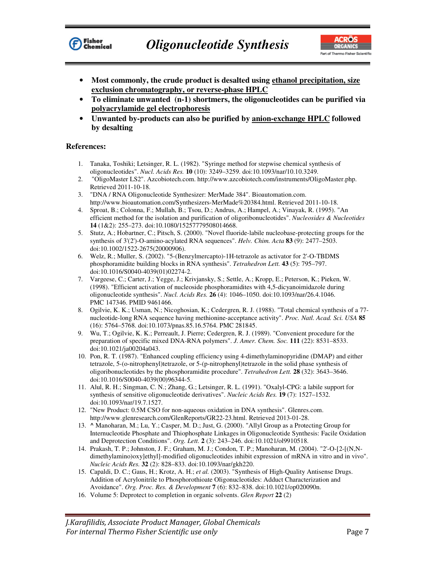



- **Most commonly, the crude product is desalted using ethanol precipitation, size exclusion chromatography, or reverse-phase HPLC**
- **To eliminate unwanted (n-1) shortmers, the oligonucleotides can be purified via polyacrylamide gel electrophoresis**
- **Unwanted by-products can also be purified by anion-exchange HPLC followed by desalting**

#### **References:**

- 1. Tanaka, Toshiki; Letsinger, R. L. (1982). "Syringe method for stepwise chemical synthesis of oligonucleotides". *Nucl. Acids Res.* **10** (10): 3249–3259. doi:10.1093/nar/10.10.3249.
- 2. "OligoMaster LS2". Azcobiotech.com. http://www.azcobiotech.com/instruments/OligoMaster.php. Retrieved 2011-10-18.
- 3. "DNA / RNA Oligonucleotide Synthesizer: MerMade 384". Bioautomation.com. http://www.bioautomation.com/Synthesizers-MerMade%20384.html. Retrieved 2011-10-18.
- 4. Sproat, B.; Colonna, F.; Mullah, B.; Tsou, D.; Andrus, A.; Hampel, A.; Vinayak, R. (1995). "An efficient method for the isolation and purification of oligoribonucleotides". *Nucleosides & Nucleotides* **14** (1&2): 255–273. doi:10.1080/15257779508014668.
- 5. Stutz, A.; Hobartner, C.; Pitsch, S. (2000). "Novel fluoride-labile nucleobase-protecting groups for the synthesis of 3'(2')-O-amino-acylated RNA sequences". *Helv. Chim. Acta* **83** (9): 2477–2503. doi:10.1002/1522-2675(20000906).
- 6. Welz, R.; Muller, S. (2002). "5-(Benzylmercapto)-1H-tetrazole as activator for 2'-O-TBDMS phosphoramidite building blocks in RNA synthesis". *Tetrahedron Lett.* **43** (5): 795–797. doi:10.1016/S0040-4039(01)02274-2.
- 7. Vargeese, C.; Carter, J.; Yegge, J.; Krivjansky, S.; Settle, A.; Kropp, E.; Peterson, K.; Pieken, W. (1998). "Efficient activation of nucleoside phosphoramidites with 4,5-dicyanoimidazole during oligonucleotide synthesis". *Nucl. Acids Res.* **26** (4): 1046–1050. doi:10.1093/nar/26.4.1046. PMC 147346. PMID 9461466.
- 8. Ogilvie, K. K.; Usman, N.; Nicoghosian, K.; Cedergren, R. J. (1988). "Total chemical synthesis of a 77 nucleotide-long RNA sequence having methionine-acceptance activity". *Proc. Natl. Acad. Sci. USA* **85** (16): 5764–5768. doi:10.1073/pnas.85.16.5764. PMC 281845.
- 9. Wu, T.; Ogilvie, K. K.; Perreault, J. Pierre; Cedergren, R. J. (1989). "Convenient procedure for the preparation of specific mixed DNA-RNA polymers". *J. Amer. Chem. Soc.* **111** (22): 8531–8533. doi:10.1021/ja00204a043.
- 10. Pon, R. T. (1987). "Enhanced coupling efficiency using 4-dimethylaminopyridine (DMAP) and either tetrazole, 5-(o-nitrophenyl)tetrazole, or 5-(p-nitrophenyl)tetrazole in the solid phase synthesis of oligoribonucleotides by the phosphoramidite procedure". *Tetrahedron Lett.* **28** (32): 3643–3646. doi:10.1016/S0040-4039(00)96344-5.
- 11. Alul, R. H.; Singman, C. N.; Zhang, G.; Letsinger, R. L. (1991). "Oxalyl-CPG: a labile support for synthesis of sensitive oligonucleotide derivatives". *Nucleic Acids Res.* **19** (7): 1527–1532. doi:10.1093/nar/19.7.1527.
- 12. "New Product: 0.5M CSO for non-aqueous oxidation in DNA synthesis". Glenres.com. http://www.glenresearch.com/GlenReports/GR22-23.html. Retrieved 2013-01-28.
- 13. **^** Manoharan, M.; Lu, Y.; Casper, M. D.; Just, G. (2000). "Allyl Group as a Protecting Group for Internucleotide Phosphate and Thiophosphate Linkages in Oligonucleotide Synthesis: Facile Oxidation and Deprotection Conditions". *Org. Lett.* **2** (3): 243–246. doi:10.1021/ol9910518.
- 14. Prakash, T. P.; Johnston, J. F.; Graham, M. J.; Condon, T. P.; Manoharan, M. (2004). "2'-O-[2-[(N,Ndimethylamino)oxy]ethyl]-modified oligonucleotides inhibit expression of mRNA in vitro and in vivo". *Nucleic Acids Res.* **32** (2): 828–833. doi:10.1093/nar/gkh220.
- 15. Capaldi, D. C.; Gaus, H.; Krotz, A. H.; *et al.* (2003). "Synthesis of High-Quality Antisense Drugs. Addition of Acrylonitrile to Phosphorothioate Oligonucleotides: Adduct Characterization and Avoidance". *Org. Proc. Res. & Development* **7** (6): 832–838. doi:10.1021/op020090n.
- 16. Volume 5: Deprotect to completion in organic solvents. *Glen Report* **22** (2)